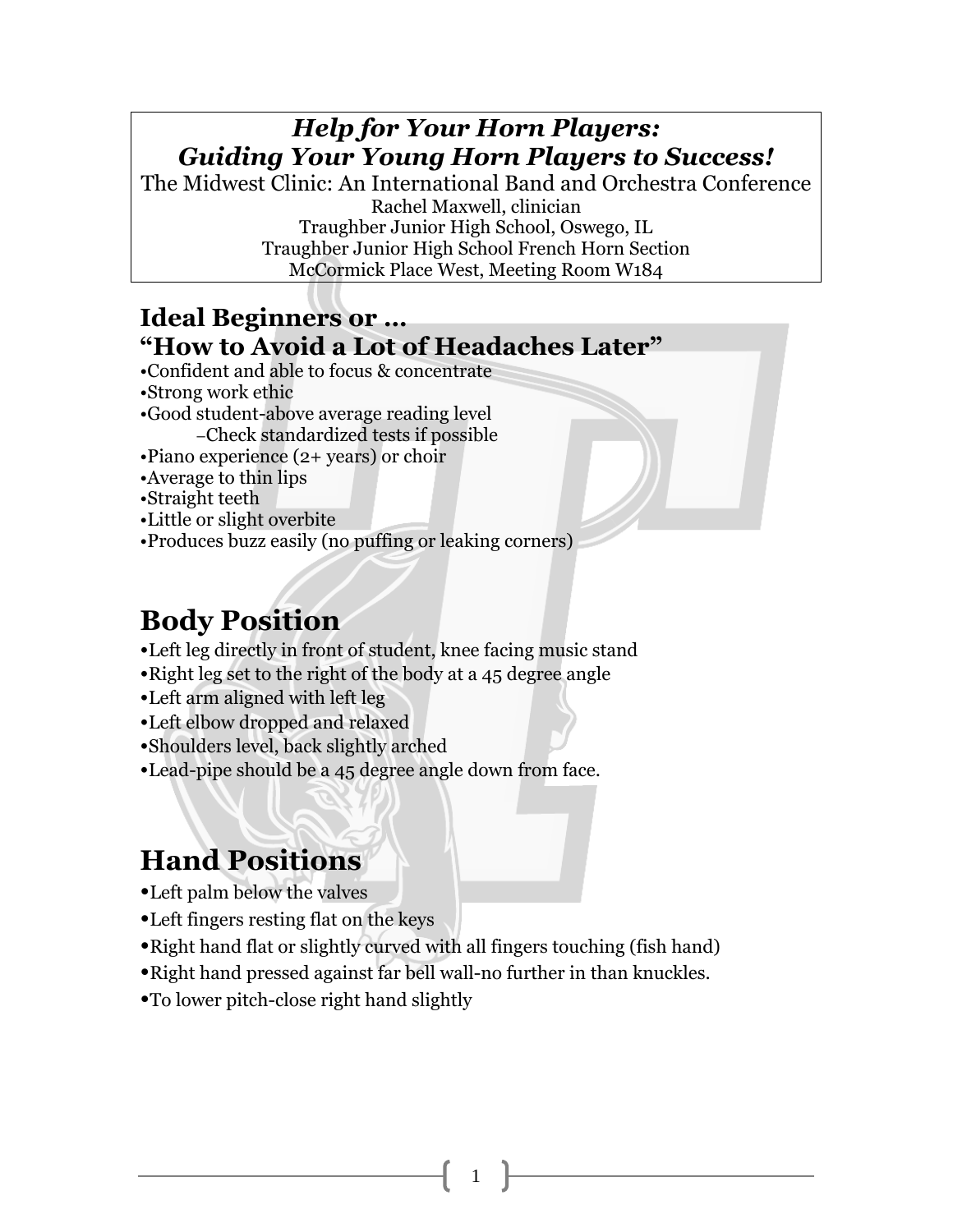### *Help for Your Horn Players: Guiding Your Young Horn Players to Success!*

The Midwest Clinic: An International Band and Orchestra Conference Rachel Maxwell, clinician Traughber Junior High School, Oswego, IL Traughber Junior High School French Horn Section McCormick Place West, Meeting Room W184

#### **Ideal Beginners or … "How to Avoid a Lot of Headaches Later"**

- •Confident and able to focus & concentrate
- •Strong work ethic
- •Good student-above average reading level –Check standardized tests if possible
- •Piano experience (2+ years) or choir
- •Average to thin lips
- •Straight teeth
- •Little or slight overbite
- •Produces buzz easily (no puffing or leaking corners)

# **Body Position**

- •Left leg directly in front of student, knee facing music stand
- •Right leg set to the right of the body at a 45 degree angle
- •Left arm aligned with left leg
- •Left elbow dropped and relaxed
- •Shoulders level, back slightly arched
- •Lead-pipe should be a 45 degree angle down from face.

# **Hand Positions**

- •Left palm below the valves
- •Left fingers resting flat on the keys
- •Right hand flat or slightly curved with all fingers touching (fish hand)
- •Right hand pressed against far bell wall-no further in than knuckles.

1

•To lower pitch-close right hand slightly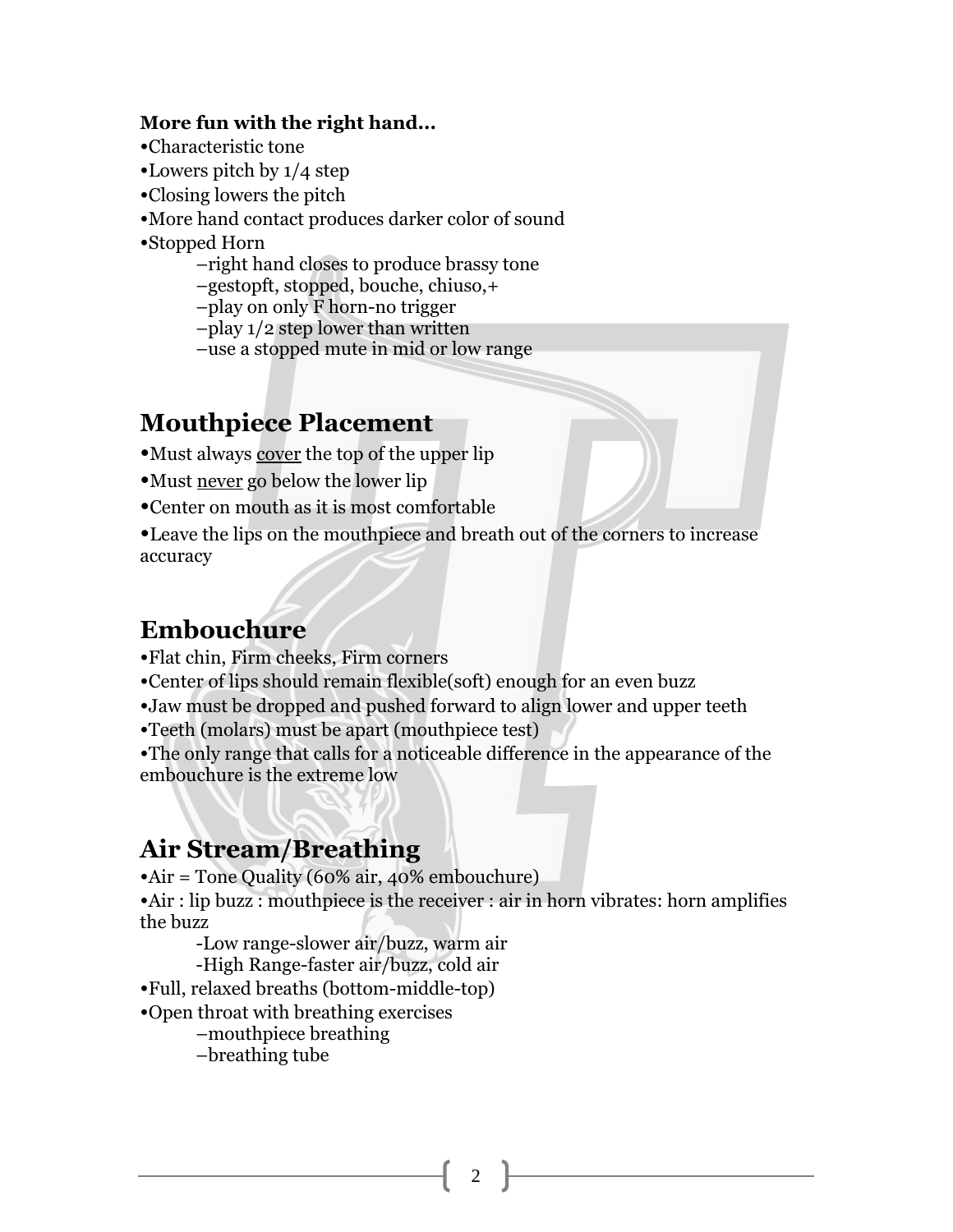#### **More fun with the right hand...**

- •Characteristic tone
- •Lowers pitch by 1/4 step
- •Closing lowers the pitch
- •More hand contact produces darker color of sound
- •Stopped Horn
	- –right hand closes to produce brassy tone
	- –gestopft, stopped, bouche, chiuso,+
	- –play on only F horn-no trigger

–play 1/2 step lower than written

–use a stopped mute in mid or low range

#### **Mouthpiece Placement**

- •Must always cover the top of the upper lip
- •Must never go below the lower lip
- •Center on mouth as it is most comfortable

•Leave the lips on the mouthpiece and breath out of the corners to increase accuracy

#### **Embouchure**

- •Flat chin, Firm cheeks, Firm corners
- •Center of lips should remain flexible(soft) enough for an even buzz
- •Jaw must be dropped and pushed forward to align lower and upper teeth
- •Teeth (molars) must be apart (mouthpiece test)

•The only range that calls for a noticeable difference in the appearance of the embouchure is the extreme low

#### **Air Stream/Breathing**

•Air = Tone Quality (60% air, 40% embouchure)

•Air : lip buzz : mouthpiece is the receiver : air in horn vibrates: horn amplifies the buzz

-Low range-slower air/buzz, warm air

-High Range-faster air/buzz, cold air

- •Full, relaxed breaths (bottom-middle-top)
- •Open throat with breathing exercises

–mouthpiece breathing

–breathing tube

 $\mathfrak{D}$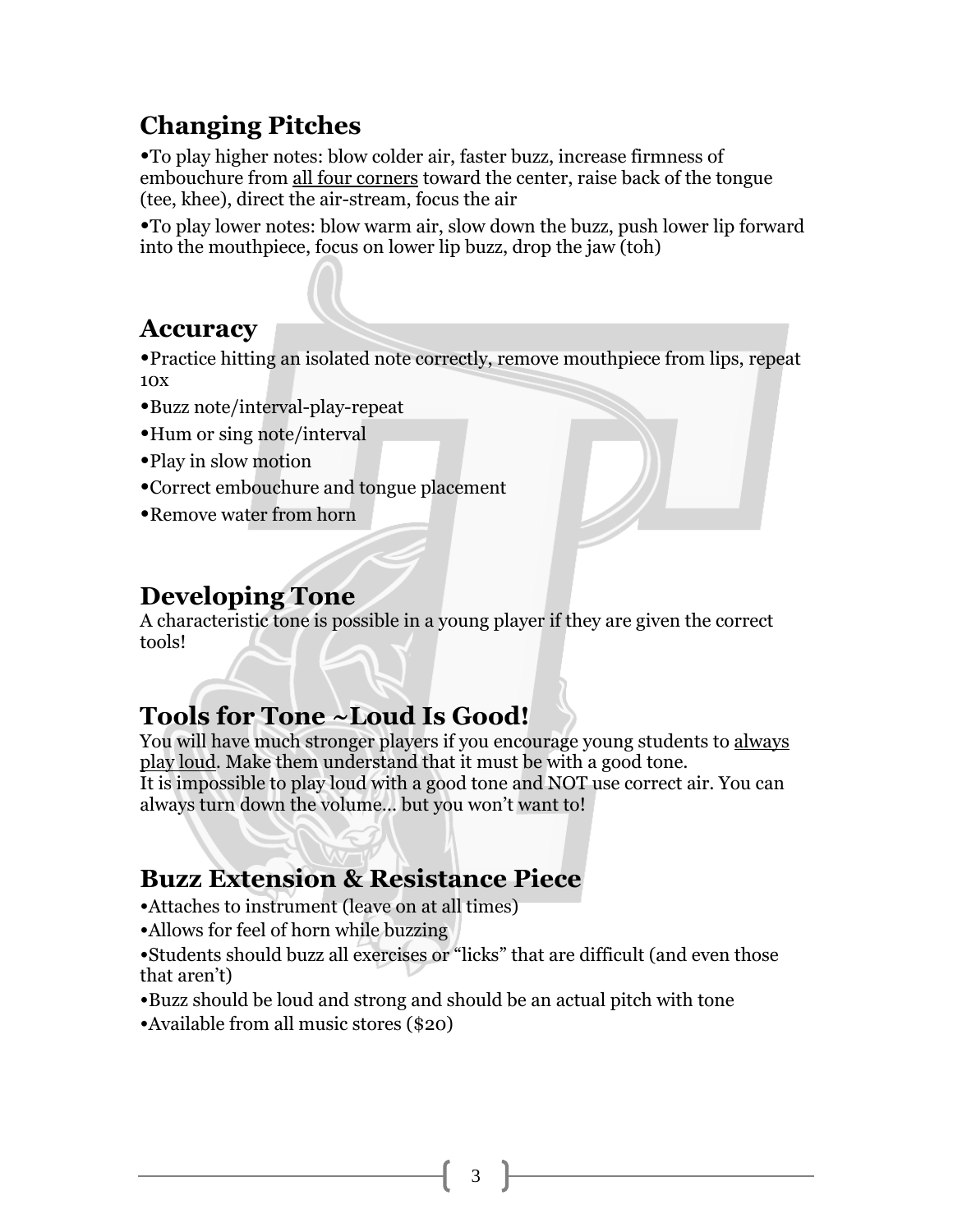## **Changing Pitches**

•To play higher notes: blow colder air, faster buzz, increase firmness of embouchure from all four corners toward the center, raise back of the tongue (tee, khee), direct the air-stream, focus the air

•To play lower notes: blow warm air, slow down the buzz, push lower lip forward into the mouthpiece, focus on lower lip buzz, drop the jaw (toh)

#### **Accuracy**

•Practice hitting an isolated note correctly, remove mouthpiece from lips, repeat 10x

- •Buzz note/interval-play-repeat
- •Hum or sing note/interval
- •Play in slow motion
- •Correct embouchure and tongue placement
- •Remove water from horn

### **Developing Tone**

A characteristic tone is possible in a young player if they are given the correct tools!

## **Tools for Tone ~Loud Is Good!**

You will have much stronger players if you encourage young students to always play loud. Make them understand that it must be with a good tone. It is impossible to play loud with a good tone and NOT use correct air. You can always turn down the volume… but you won't want to!

## **Buzz Extension & Resistance Piece**

- •Attaches to instrument (leave on at all times)
- •Allows for feel of horn while buzzing
- •Students should buzz all exercises or "licks" that are difficult (and even those that aren't)
- •Buzz should be loud and strong and should be an actual pitch with tone
- •Available from all music stores (\$20)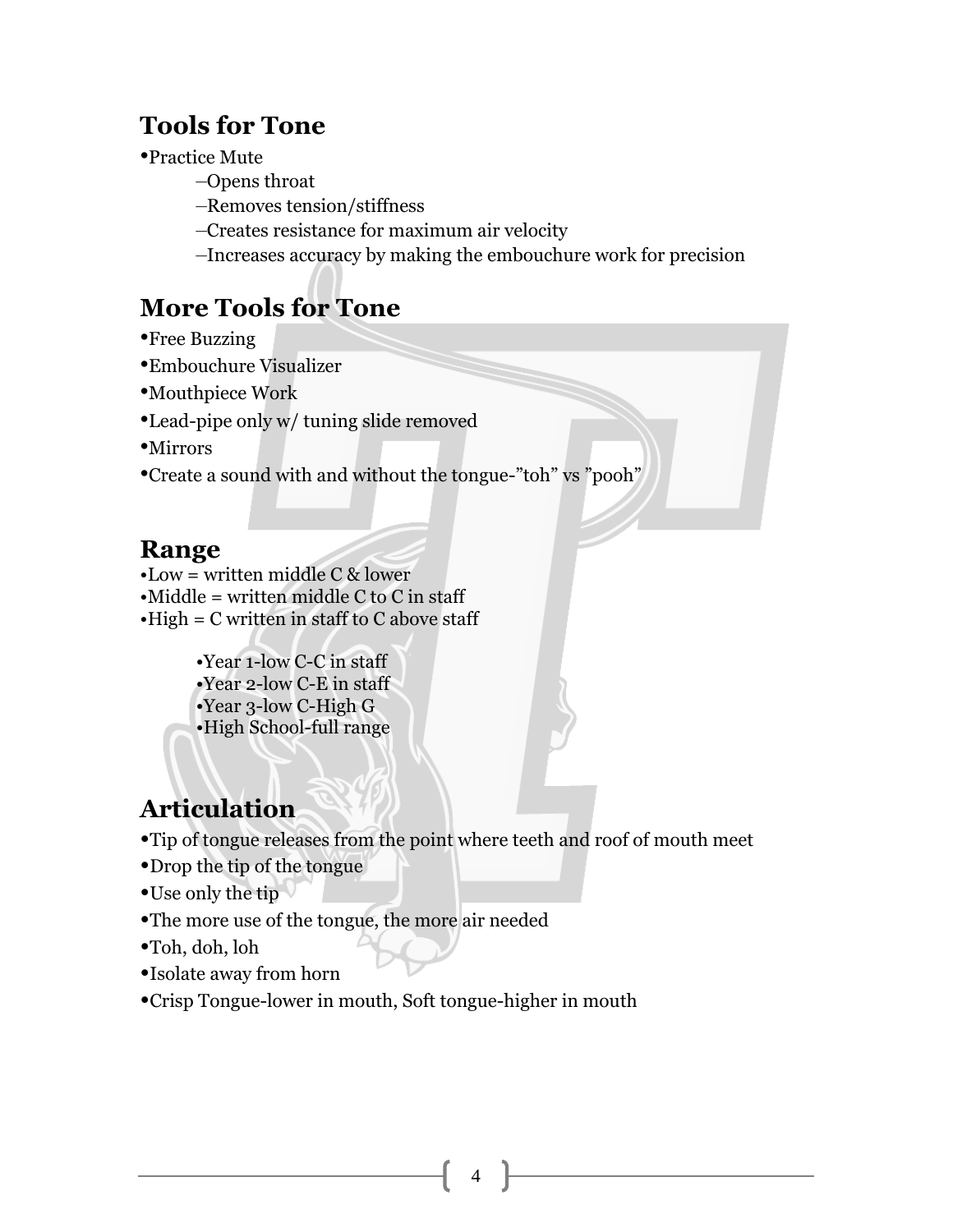#### **Tools for Tone**

•Practice Mute

- –Opens throat
- –Removes tension/stiffness
- –Creates resistance for maximum air velocity
- –Increases accuracy by making the embouchure work for precision

## **More Tools for Tone**

- •Free Buzzing
- •Embouchure Visualizer
- •Mouthpiece Work
- •Lead-pipe only w/ tuning slide removed
- •Mirrors
- •Create a sound with and without the tongue-"toh" vs "pooh"

#### **Range**

- •Low = written middle C & lower
- $\bullet$ Middle = written middle C to C in staff
- $\cdot$ High = C written in staff to C above staff

•Year 1-low C-C in staff •Year 2-low C-E in staff •Year 3-low C-High G •High School-full range

## **Articulation**

- •Tip of tongue releases from the point where teeth and roof of mouth meet
- •Drop the tip of the tongue
- •Use only the tip
- •The more use of the tongue, the more air needed
- •Toh, doh, loh
- •Isolate away from horn
- •Crisp Tongue-lower in mouth, Soft tongue-higher in mouth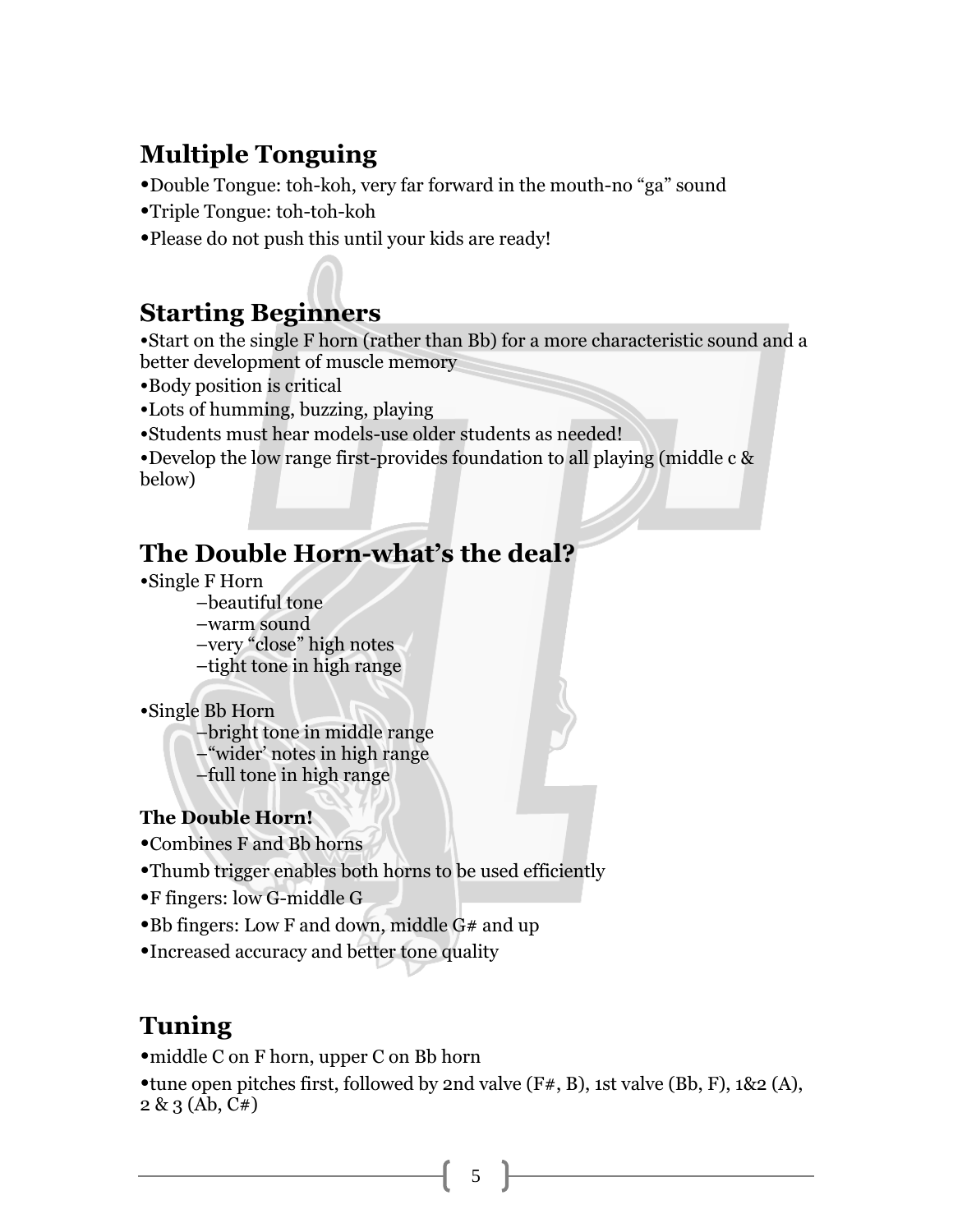## **Multiple Tonguing**

•Double Tongue: toh-koh, very far forward in the mouth-no "ga" sound

•Triple Tongue: toh-toh-koh

•Please do not push this until your kids are ready!

### **Starting Beginners**

•Start on the single F horn (rather than Bb) for a more characteristic sound and a better development of muscle memory

- •Body position is critical
- •Lots of humming, buzzing, playing
- •Students must hear models-use older students as needed!

•Develop the low range first-provides foundation to all playing (middle c & below)

## **The Double Horn-what's the deal?**

- •Single F Horn
	- –beautiful tone
	- –warm sound

–very "close" high notes

–tight tone in high range

•Single Bb Horn

–bright tone in middle range –"wider' notes in high range

–full tone in high range

#### **The Double Horn!**

- •Combines F and Bb horns
- •Thumb trigger enables both horns to be used efficiently
- •F fingers: low G-middle G
- •Bb fingers: Low F and down, middle G# and up
- •Increased accuracy and better tone quality

#### **Tuning**

•middle C on F horn, upper C on Bb horn

•tune open pitches first, followed by 2nd valve (F#, B), 1st valve (Bb, F), 1&2 (A), 2 & 3 (Ab, C#)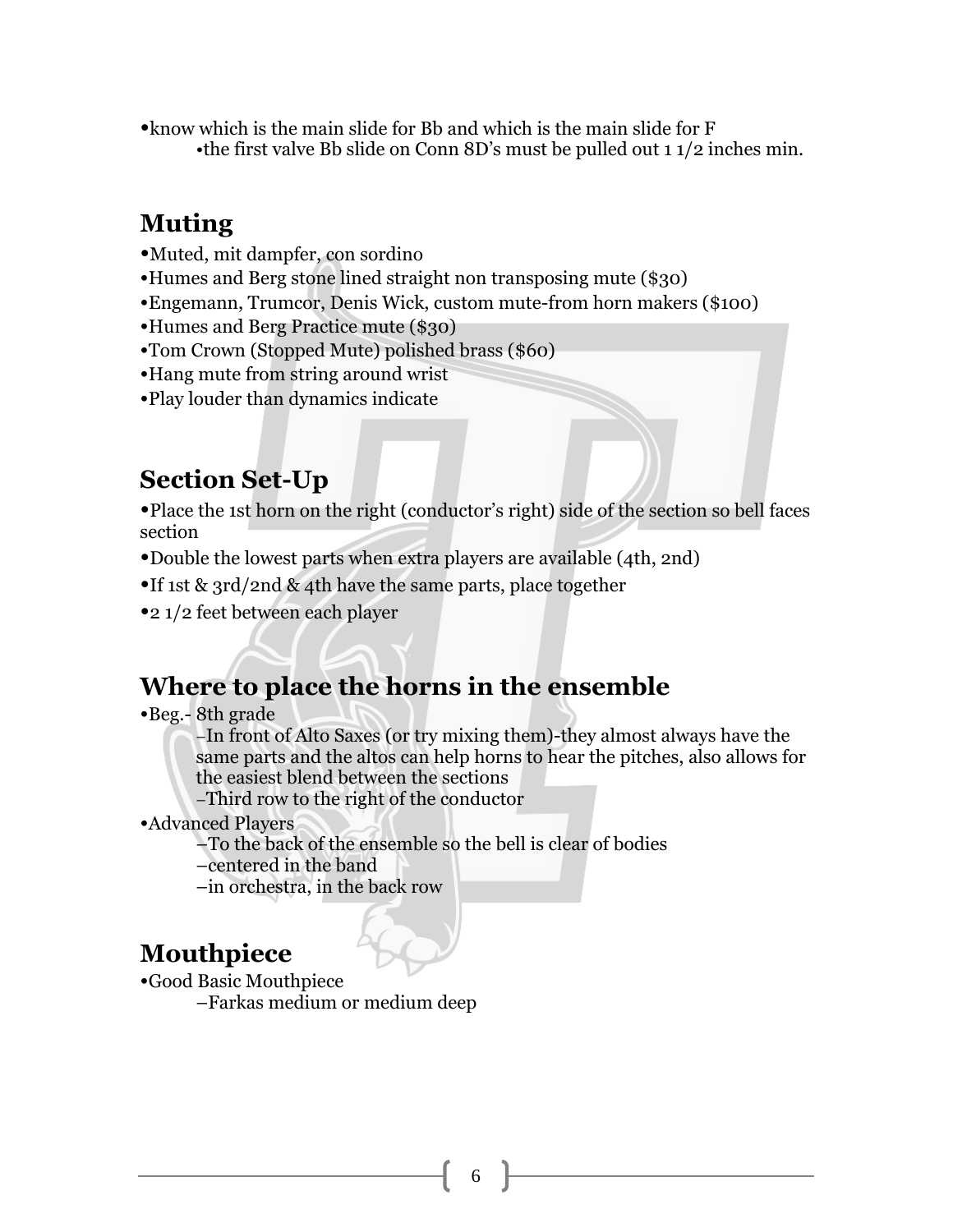•know which is the main slide for Bb and which is the main slide for F •the first valve Bb slide on Conn 8D's must be pulled out 1 1/2 inches min.

#### **Muting**

- •Muted, mit dampfer, con sordino
- •Humes and Berg stone lined straight non transposing mute (\$30)
- •Engemann, Trumcor, Denis Wick, custom mute-from horn makers (\$100)
- •Humes and Berg Practice mute (\$30)
- •Tom Crown (Stopped Mute) polished brass (\$60)
- •Hang mute from string around wrist
- •Play louder than dynamics indicate

#### **Section Set-Up**

•Place the 1st horn on the right (conductor's right) side of the section so bell faces section

- •Double the lowest parts when extra players are available (4th, 2nd)
- •If 1st & 3rd/2nd & 4th have the same parts, place together
- •2 1/2 feet between each player

### **Where to place the horns in the ensemble**

•Beg.- 8th grade

–In front of Alto Saxes (or try mixing them)-they almost always have the same parts and the altos can help horns to hear the pitches, also allows for the easiest blend between the sections

–Third row to the right of the conductor

•Advanced Players

–To the back of the ensemble so the bell is clear of bodies

–centered in the band

–in orchestra, in the back row

## **Mouthpiece**

•Good Basic Mouthpiece

–Farkas medium or medium deep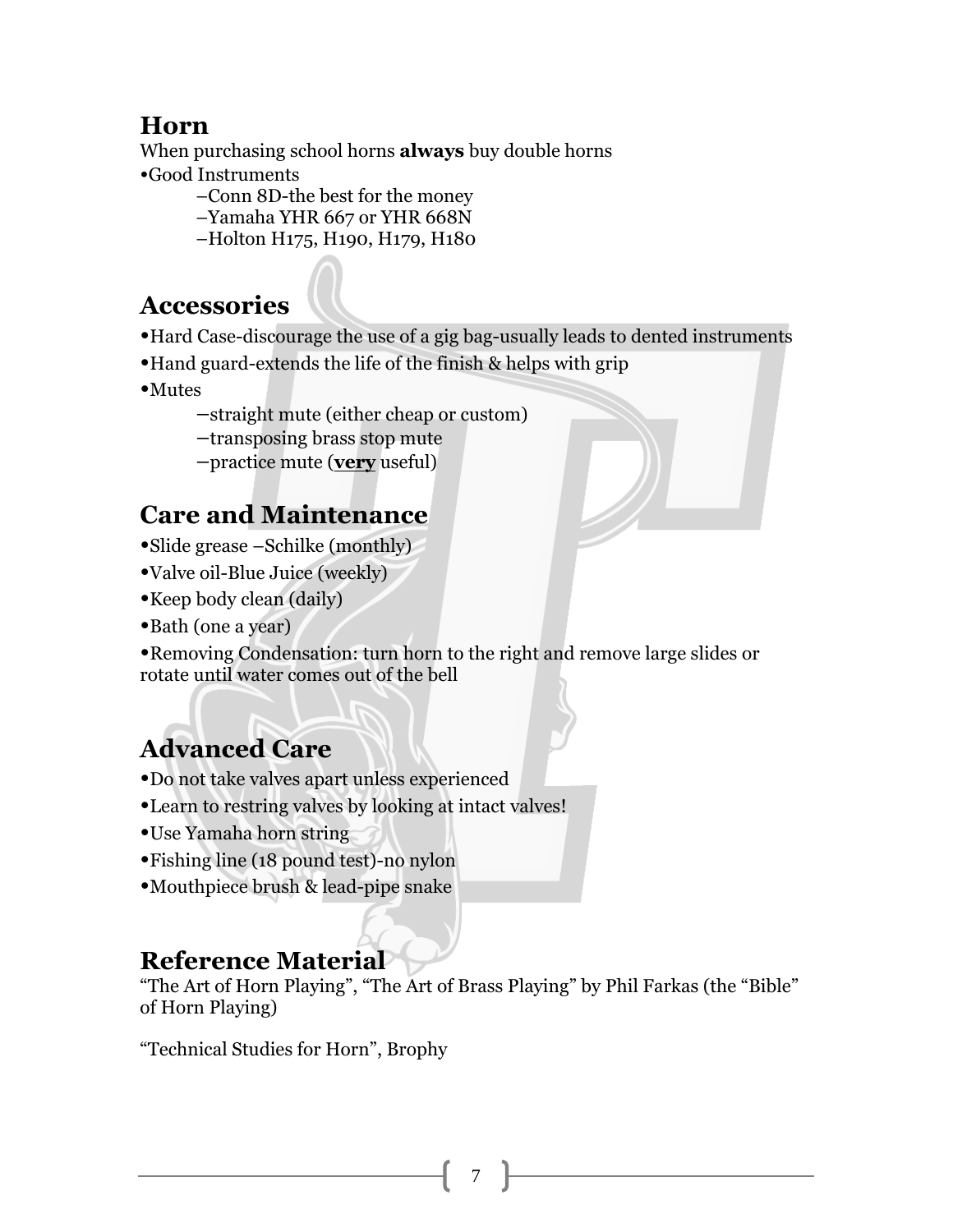#### **Horn**

When purchasing school horns **always** buy double horns

•Good Instruments

- –Conn 8D-the best for the money
- –Yamaha YHR 667 or YHR 668N
- –Holton H175, H190, H179, H180

## **Accessories**

- •Hard Case-discourage the use of a gig bag-usually leads to dented instruments
- •Hand guard-extends the life of the finish & helps with grip
- •Mutes
	- –straight mute (either cheap or custom)
	- –transposing brass stop mute
	- –practice mute (**very** useful)

## **Care and Maintenance**

- •Slide grease –Schilke (monthly)
- •Valve oil-Blue Juice (weekly)
- •Keep body clean (daily)
- •Bath (one a year)

•Removing Condensation: turn horn to the right and remove large slides or rotate until water comes out of the bell

# **Advanced Care**

- •Do not take valves apart unless experienced
- •Learn to restring valves by looking at intact valves!
- •Use Yamaha horn string
- •Fishing line (18 pound test)-no nylon
- •Mouthpiece brush & lead-pipe snake

### **Reference Material**

"The Art of Horn Playing", "The Art of Brass Playing" by Phil Farkas (the "Bible" of Horn Playing)

"Technical Studies for Horn", Brophy